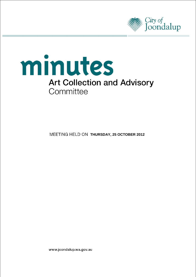



**MEETING HELD ON THURSDAY, 25 OCTOBER 2012** 

www.joondalup.wa.gov.au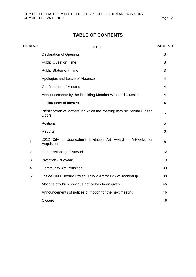# **TABLE OF CONTENTS**

| <b>ITEM NO</b> | <b>TITLE</b>                                                                   | <b>PAGE NO</b> |
|----------------|--------------------------------------------------------------------------------|----------------|
|                | <b>Declaration of Opening</b>                                                  | 3              |
|                | <b>Public Question Time</b>                                                    | 3              |
|                | <b>Public Statement Time</b>                                                   | 3              |
|                | Apologies and Leave of Absence                                                 | 4              |
|                | <b>Confirmation of Minutes</b>                                                 | 4              |
|                | Announcements by the Presiding Member without discussion                       | $\overline{4}$ |
|                | <b>Declarations of Interest</b>                                                | 4              |
|                | Identification of Matters for which the meeting may sit Behind Closed<br>Doors | 5              |
|                | Petitions                                                                      | 5              |
|                | Reports                                                                        | 6              |
| 1              | 2012 City of Joondalup's Invitation Art Award - Artworks for<br>Acquisition    | 6              |
| $\overline{2}$ | <b>Commissioning of Artwork</b>                                                | 12             |
| 3              | <b>Invitation Art Award</b>                                                    | 19             |
| 4              | <b>Community Art Exhibition</b>                                                | 30             |
| 5              | 'Inside Out Billboard Project' Public Art for City of Joondalup                | 38             |
|                | Motions of which previous notice has been given                                | 46             |
|                | Announcements of notices of motion for the next meeting                        | 46             |
|                | Closure                                                                        | 46             |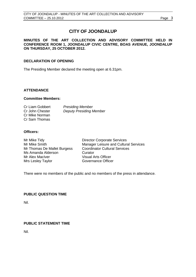# **CITY OF JOONDALUP**

### **MINUTES OF THE ART COLLECTION AND ADVISORY COMMITTEE HELD IN CONFERENCE ROOM 1, JOONDALUP CIVIC CENTRE, BOAS AVENUE, JOONDALUP ON THURSDAY, 25 OCTOBER 2012.**

### **DECLARATION OF OPENING**

The Presiding Member declared the meeting open at 6.31pm.

### **ATTENDANCE**

#### **Committee Members:**

| Cr Liam Gobbert | <b>Presiding Member</b>        |
|-----------------|--------------------------------|
| Cr John Chester | <b>Deputy Presiding Member</b> |
| Cr Mike Norman  |                                |
| Cr Sam Thomas   |                                |

#### **Officers:**

Mr Mike Tidy **Director Corporate Services** Mr Thomas De Mallet Burgess Ms Amanda Alderson Curator Mr Alex MacIver **Visual Arts Officer** Mrs Lesley Taylor Governance Officer

Mr Mike Smith Manager Leisure and Cultural Services<br>Mr Thomas De Mallet Burgess Coordinator Cultural Services

There were no members of the public and no members of the press in attendance.

### <span id="page-2-0"></span>**PUBLIC QUESTION TIME**

Nil.

### <span id="page-2-1"></span>**PUBLIC STATEMENT TIME**

Nil.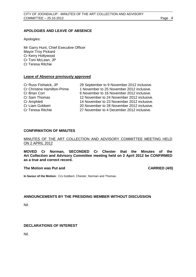### <span id="page-3-0"></span>**APOLOGIES AND LEAVE OF ABSENCE**

Apologies:

Mr Garry Hunt, Chief Executive Officer Mayor Troy Pickard Cr Kerry Hollywood Cr Tom McLean, JP Cr Teresa Ritchie

#### **Leave of Absence previously approved**

| 29 September to 9 November 2012 inclusive. |
|--------------------------------------------|
| 1 November to 25 November 2012 inclusive.  |
| 6 November to 16 November 2012 inclusive.  |
| 12 November to 24 November 2012 inclusive. |
| 14 November to 23 November 2012 inclusive. |
| 20 November to 28 November 2012 inclusive. |
| 27 November to 4 December 2012 inclusive.  |
|                                            |

#### <span id="page-3-1"></span>**CONFIRMATION OF MINUTES**

#### MINUTES OF THE ART COLLECTION AND ADVISORY COMMITTEE MEETING HELD ON 2 APRIL 2012

**MOVED Cr Norman, SECONDED Cr Chester that the Minutes of the Art Collection and Advisory Committee meeting held on 2 April 2012 be CONFIRMED as a true and correct record.**

#### **The Motion was Put and CARRIED (4/0)**

**In favour of the Motion:** Crs Gobbert, Chester, Norman and Thomas.

### <span id="page-3-2"></span>**ANNOUNCEMENTS BY THE PRESIDING MEMBER WITHOUT DISCUSSION**

Nil.

### <span id="page-3-3"></span>**DECLARATIONS OF INTEREST**

Nil.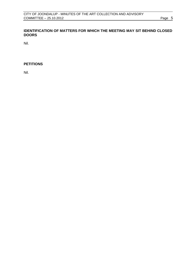### <span id="page-4-0"></span>**IDENTIFICATION OF MATTERS FOR WHICH THE MEETING MAY SIT BEHIND CLOSED DOORS**

Nil.

### <span id="page-4-1"></span>**PETITIONS**

Nil.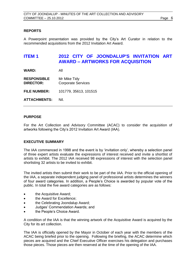### <span id="page-5-0"></span>**REPORTS**

A Powerpoint presentation was provided by the City's Art Curator in relation to the recommended acquisitions from the 2012 Invitation Art Award.

# <span id="page-5-1"></span>**ITEM 1 2012 CITY OF JOONDALUP'S INVITATION ART AWARD – ARTWORKS FOR ACQUISITION**

**WARD:** All

**RESPONSIBLE** Mr Mike Tidy **DIRECTOR:** Corporate Services

**FILE NUMBER:** 101779, 35613, 101515

**ATTACHMENTS:** Nil.

### **PURPOSE**

For the Art Collection and Advisory Committee (ACAC) to consider the acquisition of artworks following the City's 2012 Invitation Art Award (IAA).

### **EXECUTIVE SUMMARY**

The IAA commenced in 1998 and the event is by 'invitation only', whereby a selection panel of three expert artists evaluate the expressions of interest received and invite a shortlist of artists to exhibit. The 2012 IAA received 98 expressions of interest with the selection panel shorlisting 32 artists to be invited to exhibit.

The invited artists then submit their work to be part of the IAA. Prior to the official opening of the IAA, a separate independent judging panel of professional artists determines the winners of four award categories. In addition, a People's Choice is awarded by popular vote of the public. In total the five award categories are as follows:

- the Acquisitive Award;
- the Award for Excellence;
- the Celebrating Joondalup Award;
- Judges' Commendation Awards; and
- the People's Choice Award.

A condition of the IAA is that the winning artwork of the Acquisitive Award is acquired by the City for its art collection.

The IAA is officially opened by the Mayor in October of each year with the members of the ACAC being briefed prior to the opening. Following the briefing, the ACAC determine which pieces are acquired and the Chief Executive Officer exercises his delegation and purchases those pieces. Those pieces are then reserved at the time of the opening of the IAA.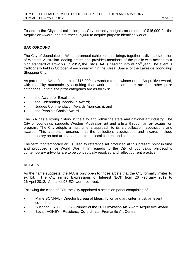To add to the City's art collection, the City currently budgets an amount of \$15,000 for the Acquisition Award, and a further \$15,000 to acquire purpose identified works.

### **BACKGROUND**

The City of Joondalup's IAA is an annual exhibition that brings together a diverse selection of Western Australian leading artists and provides members of the public with access to a high standard of artworks. In 2012, the City's IAA is heading into its  $15<sup>th</sup>$  year. The event is traditionally held in October of each year within the 'Great Space' of the Lakeside Joondalup Shopping City.

As part of the IAA, a first prize of \$15,000 is awarded to the winner of the Acquisitive Award, with the City automatically acquiring that work. In addition there are four other prize categories. In total the prize categories are as follows:

- the Award for Excellence;
- the Celebrating Joondalup Award;
- Judges Commendation Awards (non-cash); and
- the People's Choice Award.

The IAA has a strong history in the City and within the state and national art industry. The City of Joondalup supports Western Australian art and artists through an art acquisition program. The City adopts a multi-criteria approach to its art collection, acquisitions and awards. This approach ensures that the collection, acquisitions and awards include contemporary art and art that demonstrates local content and context.

The term 'contemporary art' is used to reference art produced at this present point in time and produced since World War II. In regards to the City of Joondalup philosophy, contemporary artworks are to be conceptually resolved and reflect current practice.

### **DETAILS**

As the name suggests, the IAA is only open to those artists that the City formally invites to exhibit. The City invited Expressions of Interest (EOI) from 26 February 2012 to 16 April 2012. A total of 98 EOI were received.

Following the close of EOI, the City appointed a selection panel comprising of:

- Marie BONNAL Director Bureau of Ideas, fiction and art writer, artist, art event co-ordinator.
- Susanna CASTLEDEN Winner of the 2011 Invitation Art Award Acquisitive Award.
- Bevan HONEY Residency Co-ordinator Fremantle Art Centre.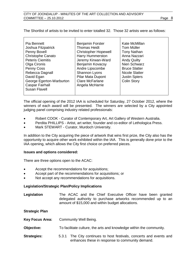| Pia Bennett<br>Joshua Fitzpatrick<br>Penny Bovell<br><b>Christophe Canato</b><br><b>Peteris Ciemitis</b><br>Olga Cironis<br><b>Penny Coss</b><br>Rebecca Dagnall<br>David Egan<br>George Egerton-Warburton<br><b>Caspar Fairhall</b> | <b>Benjamin Forster</b><br><b>Thomas Heidt</b><br><b>Christopher Hopewell</b><br>Harry Hummerston<br>Jeremy Kirwan-Ward<br>Benjamin Kovacsy<br>Andre Lipscombe<br>Shannon Lyons<br>Pilar Mata Dupont<br><b>Clare McFarlane</b><br>Angela McHarrie | Kate McMillan<br>Tom Muller<br><b>Tony Nathan</b><br>Anna Nazzari<br><b>Andy Quilty</b><br>Nien Schwarz<br><b>Bruce Slatter</b><br>Nicole Slatter<br><b>Justin Spiers</b><br><b>Colin Story</b> |
|--------------------------------------------------------------------------------------------------------------------------------------------------------------------------------------------------------------------------------------|---------------------------------------------------------------------------------------------------------------------------------------------------------------------------------------------------------------------------------------------------|-------------------------------------------------------------------------------------------------------------------------------------------------------------------------------------------------|
| Susan Flavell                                                                                                                                                                                                                        |                                                                                                                                                                                                                                                   |                                                                                                                                                                                                 |

The official opening of the 2012 IAA is scheduled for Saturday, 27 October 2012, where the winners of each award will be presented. The winners are selected by a City appointed judging panel comprising industry related professionals:

- Robert COOK Curator of Contemporary Art, Art Gallery of Western Australia.
- Perdita PHILLIPS Artist, art writer, founder and co-editor of Lethologica Press.
- Mark STEWART Curator, Murdoch University.

In addition to the City acquiring the piece of artwork that wins first prize, the City also has the opportunity to acquire other work exhibited within the IAA. This is generally done prior to the IAA opening, which allows the City first choice on preferred pieces.

### **Issues and options considered:**

There are three options open to the ACAC:

- Accept the recommendations for acquisitions;
- Accept part of the recommendations for acquisitions; or
- Not accept any recommendations for acquisitions.

### **Legislation/Strategic Plan/Policy Implications**

**Legislation** The ACAC and the Chief Executive Officer have been granted delegated authority to purchase artworks recommended up to an amount of \$15,000 and within budget allocations.

**Strategic Plan**

**Key Focus Area:** Community Well Being.

**Objective:** To facilitate culture, the arts and knowledge within the community.

**Strategies:** 5.3.1 The City continues to host festivals, concerts and events and enhances these in response to community demand.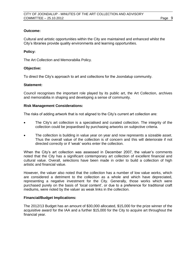### **Outcome:**

Cultural and artistic opportunities within the City are maintained and enhanced whilst the City's libraries provide quality environments and learning opportunities.

### **Policy:**

The Art Collection and Memorabilia Policy.

### **Objective:**

To direct the City's approach to art and collections for the Joondalup community.

### **Statement:**

Council recognises the important role played by its public art, the Art Collection, archives and memorabilia in shaping and developing a sense of community.

### **Risk Management Considerations:**

The risks of adding artwork that is not aligned to the City's current art collection are:

- The City's art collection is a specialised and curated collection. The integrity of the collection could be jeopardised by purchasing artworks on subjective criteria.
- The collection is building in value year on year and now represents a sizeable asset. Thus the overall value of the collection is of concern and this will deteriorate if not directed correctly or if 'weak' works enter the collection.

When the City's art collection was assessed in December 2007, the valuer's comments noted that the City has a significant contemporary art collection of excellent financial and cultural value. Overall, selections have been made in order to build a collection of high artistic and financial value.

However, the valuer also noted that the collection has a number of low value works, which are considered a detriment to the collection as a whole and which have depreciated, representing a negative investment for the City. Generally, those works which were purchased purely on the basis of 'local content', or due to a preference for traditional craft mediums, were noted by the valuer as weak links in the collection.

### **Financial/Budget Implications:**

The 2012/13 Budget has an amount of \$30,000 allocated, \$15,000 for the prize winner of the acquisitive award for the IAA and a further \$15,000 for the City to acquire art throughout the financial year.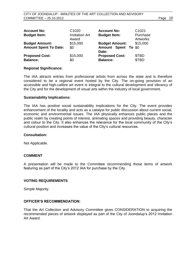| <b>Account No:</b><br><b>Budget Item:</b>             | C <sub>1020</sub><br><b>Invitation Art</b><br>Award | <b>Account No:</b><br><b>Budget Item:</b>             | C <sub>1021</sub><br>Purchase<br><b>Artworks</b> |
|-------------------------------------------------------|-----------------------------------------------------|-------------------------------------------------------|--------------------------------------------------|
| <b>Budget Amount:</b><br><b>Amount Spent To Date:</b> | \$15,000<br>\$0                                     | <b>Budget Amount:</b><br>Amount Spent To \$0<br>Date: | \$15,000                                         |
| <b>Proposed Cost:</b><br><b>Balance:</b>              | \$15,000<br>\$0                                     | <b>Proposed Cost:</b><br><b>Balance:</b>              | \$TBD<br>\$TBD                                   |

#### **Regional Significance:**

The IAA attracts entries from professional artists from across the state and is therefore considered to be a regional event hosted by the City. The on-going provision of an accessible and high-calibre art event is integral to the cultural development and vibrancy of the City and for the development of visual arts within the industry of local government.

#### **Sustainability Implications:**

The IAA has positive social sustainability implications for the City. The event provides enhancement of the locality and acts as a catalyst for public discussion about current social, economic and environmental issues. The IAA physically enhances public places and the public realm by creating points of interest, animating spaces and providing beauty, character and colour to the City. It also enhances the relevance for the local community of the City's cultural position and increases the value of the City's cultural resources.

#### **Consultation:**

Not Applicable.

#### **COMMENT**

A presentation will be made to the Committee recommending those items of artwork featuring as part of the City's 2012 IAA for purchase by the City.

#### **VOTING REQUIREMENTS**

Simple Majority.

#### **OFFICER'S RECOMMENDATION:**

That the Art Collection and Advisory Committee gives CONSIDERATION to acquiring the recommended pieces of artwork displayed as part of the City of Joondalup's 2012 Invitation Art Award.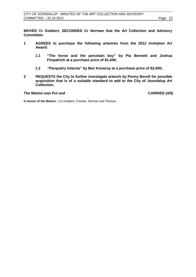**MOVED Cr Gobbert, SECONDED Cr Norman that the Art Collection and Advisory Committee:**

- **1 AGREES to purchase the following artworks from the 2012 Invitation Art Award:**
	- **1.1 "The horse and the porcelain boy" by Pia Bennett and Joshua Fitzpatrick at a purchase price of \$1,440;**
	- **1.2 "Parquetry Intarsia" by Ben Kovacsy at a purchase price of \$2,000;**
- **2 REQUESTS the City to further investigate artwork by Penny Bovell for possible acquisition that is of a suitable standard to add to the City of Joondalup Art Collection.**

### **The Motion was Put and CARRIED (4/0)**

**In favour of the Motion:** Crs Gobbert, Chester, Norman and Thomas.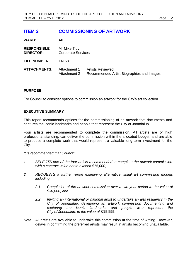# <span id="page-11-0"></span>**ITEM 2 COMMISSIONING OF ARTWORK**

| <b>WARD:</b>                           | All                                       |                                                                      |
|----------------------------------------|-------------------------------------------|----------------------------------------------------------------------|
| <b>RESPONSIBLE</b><br><b>DIRECTOR:</b> | Mr Mike Tidy<br><b>Corporate Services</b> |                                                                      |
| <b>FILE NUMBER:</b>                    | 14158                                     |                                                                      |
| <b>ATTACHMENTS:</b>                    | Attachment 1<br>Attachment 2              | <b>Artists Reviewed</b><br>Recommended Artist Biographies and Images |

### **PURPOSE**

For Council to consider options to commission an artwork for the City's art collection.

### **EXECUTIVE SUMMARY**

This report recommends options for the commissioning of an artwork that documents and captures the iconic landmarks and people that represent the City of Joondalup.

Four artists are recommended to complete the commission. All artists are of high professional standing, can deliver the commission within the allocated budget, and are able to produce a complete work that would represent a valuable long-term investment for the City.

*It is recommended that Council:*

- *1 SELECTS one of the four artists recommended to complete the artwork commission with a contract value not to exceed \$15,000;*
- *2 REQUESTS a further report examining alternative visual art commission models including:*
	- *2.1 Completion of the artwork commission over a two year period to the value of \$30,000; and*
	- *2.2 Inviting an international or national artist to undertake an arts residency in the City of Joondalup, developing an artwork commission documenting and capturing the iconic landmarks and people who represent the City of Joondalup, to the value of \$30,000.*
- Note: All artists are available to undertake this commission at the time of writing. However, delays in confirming the preferred artists may result in artists becoming unavailable.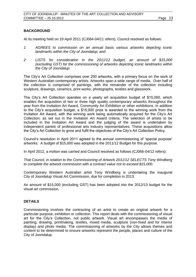### **BACKGROUND**

At its meeting held on 19 April 2011 (CJ064-04/11 refers), Council resolved as follows:

- *1 AGREES to commission on an annual basis various artworks depicting iconic landmarks within the City of Joondalup; and*
- *2 LISTS for consideration in the 2011/12 budget, an amount of \$15,000 (excluding GST) for the commissioning of artworks depicting iconic landmarks within the City of Joondalup.*

The City's Art Collection comprises over 200 artworks, with a primary focus on the work of Western Australian contemporary artists. Artworks span a wide range of media. Over half of the collection is comprised of paintings, with the remainder of the collection including sculpture, drawings, ceramics, print works, photographs, textiles and glasswork.

The City's Art Collection operates on a yearly art acquisition budget of \$15,000, which enables the acquisition of two or three high quality contemporary artworks throughout the year from the Invitation Art Award, Community Art Exhibition or other exhibitions. In addition to the City's acquisition budget, a \$15,000 prize is awarded to the winning work from the Invitation Art Award, with the winning work being automatically acquired for the City's Art Collection, as set out in the Invitation Art Award criteria. The selection of artists to be included in the Invitation Art Award and the judging of the award is undertaken by independent panels of professional arts industry representatives. These acquisitions allow the City's Art Collection to grow and fulfil the objectives of the City's Art Collection Policy.

Council's resolution in April 2011 agreed to the annual commissioning of 'special purpose' artworks. A budget of \$15,000 was adopted in the 2011/12 Budget for this purpose.

In April 2012, a motion was carried and Council resolved as follows (CJ066-04/12 refers):

*That Council, in relation to the Commissioning of Artwork 2011/12 SELECTS Tony Windberg to complete the artwork commission with a contract value not to exceed \$15,000.*

Contemporary Western Australian artist Tony Windberg is undertaking the inaugural City of Joondalup Visual Art Commission, due for completion in 2013.

An amount of \$15,000 (excluding GST) has been adopted into the 2012/13 budget for the visual art commission.

#### **DETAILS**

Commissioning involves the contracting of an artist to create an original artwork for a particular purpose, exhibition or collection. This report deals with the commissioning of visual art for the City's Collection, not public artwork. Visual art encompasses the media of painting, drawing, printmaking, textiles, mixed media, sculpture (non-fixed and for interior display) and photo media. The commissioning of artworks by the City allows themes and content to be determined to ensure artworks represent the people, places and culture of the City of Joondalup.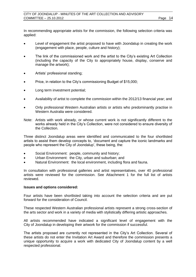In recommending appropriate artists for the commission, the following selection criteria was applied:

- Level of engagement the artist proposed to have with Joondalup in creating the work (engagement with place, people, culture and history);
- The link of the commissioned work and the artist to the City's existing Art Collection (including the capacity of the City to appropriately house, display, conserve and manage the artwork);
- Artists' professional standing;
- Price, in relation to the City's commissioning Budget of \$15,000;
- Long term investment potential;
- Availability of artist to complete the commission within the 2012/13 financial year; and
- Only professional Western Australian artists or artists who predominantly practise in Western Australia were considered.
- Note: Artists with work already, or whose current work is not significantly different to the works already held in the City's Collection, were not considered to ensure diversity of the Collection.

Three distinct Joondalup areas were identified and communicated to the four shortlisted artists to assist them develop concepts to, 'document and capture the iconic landmarks and people who represent the City of Joondalup', these being, the:

- Social Environment: people, community and history;
- Urban Environment: the City, urban and suburban; and
- Natural Environment: the local environment, including flora and fauna.

In consultation with professional galleries and artist representatives, over 40 professional artists were reviewed for the commission. See Attachment 1 for the full list of artists reviewed.

### **Issues and options considered:**

Four artists have been shortlisted taking into account the selection criteria and are put forward for the consideration of Council.

These respected Western Australian professional artists represent a strong cross-section of the arts sector and work in a variety of media with stylistically differing artistic approaches.

All artists recommended have indicated a significant level of engagement with the City of Joondalup in developing their artwork for the commission if successful.

The artists proposed are currently not represented in the City's Art Collection. Several of these artists do not enter the Invitation Art Award and therefore the commission presents a unique opportunity to acquire a work with dedicated City of Joondalup content by a well respected professional.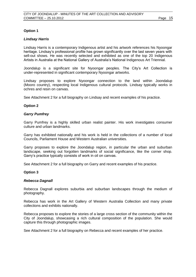### **Option 1**

### *Lindsay Harris*

Lindsay Harris is a contemporary Indigenous artist and his artwork references his Nyoongar heritage. Lindsay's professional profile has grown significantly over the last seven years with sell-out shows. He was recently selected and exhibited as one of the top 20 Indigenous Artists in Australia at the National Gallery of Australia's National Indigenous Art Triennial.

Joondalup is a significant site for Nyoongar peoples. The City's Art Collection is under-represented in significant contemporary Nyoongar artworks.

Lindsay proposes to explore Nyoongar connection to the land within Joondalup (Mooro country), respecting local Indigenous cultural protocols. Lindsay typically works in ochres and resin on canvas.

See Attachment 2 for a full biography on Lindsay and recent examples of his practice.

### **Option 2**

#### *Garry Pumfrey*

Garry Pumfrey is a highly skilled urban realist painter. His work investigates consumer culture and urban landmarks.

Garry has exhibited nationally and his work is held in the collections of a number of local Councils, Parliament House and Western Australian universities.

Garry proposes to explore the Joondalup region, in particular the urban and suburban landscape, seeking out forgotten landmarks of social significance, like the corner shop. Garry's practice typically consists of work in oil on canvas.

See Attachment 2 for a full biography on Garry and recent examples of his practice.

#### **Option 3**

#### *Rebecca Dagnall*

Rebecca Dagnall explores suburbia and suburban landscapes through the medium of photography.

Rebecca has work in the Art Gallery of Western Australia Collection and many private collections and exhibits nationally.

Rebecca proposes to explore the stories of a large cross section of the community within the City of Joondalup, showcasing a rich cultural composition of the population. She would capture this through photographic images.

See Attachment 2 for a full biography on Rebecca and recent examples of her practice.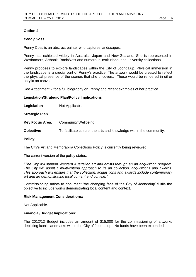### **Option 4**

#### *Penny Coss*

Penny Coss is an abstract painter who captures landscapes.

Penny has exhibited widely in Australia, Japan and New Zealand. She is represented in Wesfarmers, Artbank, BankWest and numerous institutional and university collections.

Penny proposes to explore landscapes within the City of Joondalup. Physical immersion in the landscape is a crucial part of Penny's practice. The artwork would be created to reflect the physical presence of the scenes that she uncovers. These would be rendered in oil or acrylic on canvas.

See Attachment 2 for a full biography on Penny and recent examples of her practice.

#### **Legislation/Strategic Plan/Policy Implications**

Legislation Not Applicable.

**Strategic Plan**

**Key Focus Area:** Community Wellbeing.

**Objective:** To facilitate culture, the arts and knowledge within the community*.*

#### **Policy:**

The City's Art and Memorabilia Collections Policy is currently being reviewed.

The current version of the policy states:

*"The City will support Western Australian art and artists through an art acquisition program. The City will adopt a multi-criteria approach to its art collection, acquisitions and awards. This approach will ensure that the collection, acquisitions and awards include contemporary art and art demonstrating local content and context."*

Commissioning artists to document 'the changing face of the City of Joondalup' fulfils the objective to include works demonstrating local content and context.

#### **Risk Management Considerations:**

Not Applicable.

#### **Financial/Budget Implications:**

The 2012/13 Budget includes an amount of \$15,000 for the commissioning of artworks depicting iconic landmarks within the City of Joondalup. No funds have been expended.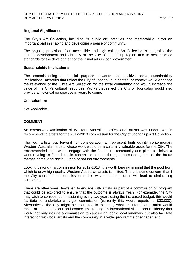### **Regional Significance:**

The City's Art Collection, including its public art, archives and memorabilia, plays an important part in shaping and developing a sense of community.

The ongoing provision of an accessible and high calibre Art Collection is integral to the cultural development and vibrancy of the City of Joondalup region and to best practice standards for the development of the visual arts in local government.

#### **Sustainability Implications:**

The commissioning of special purpose artworks has positive social sustainability implications. Artworks that reflect the City of Joondalup in content or context would enhance the relevance of the City's Art Collection for the local community and would increase the value of the City's cultural resources. Works that reflect the City of Joondalup would also provide a historical perspective in years to come.

### **Consultation:**

Not Applicable.

### **COMMENT**

An extensive examination of Western Australian professional artists was undertaken in recommending artists for the 2012-2013 commission for the City of Joondalup Art Collection.

The four artists put forward for consideration all represent high quality contemporary Western Australian artists whose work would be a culturally valuable asset for the City. The recommended artist would engage with the Joondalup community and place to deliver a work relating to Joondalup in content or context through representing one of the broad themes of the local social, urban or natural environments.

Looking beyond this commission for 2012-2013, it is worth bearing in mind that the pool from which to draw high-quality Western Australian artists is limited. There is some concern that if the City continues to commission in this way that the process will lead to diminishing outcomes.

There are other ways, however, to engage with artists as part of a commissioning program that could be explored to ensure that the outcome is always fresh. For example, the City may wish to consider commissioning every two years using the increased budget, this would facilitate to undertake a larger commission (currently this would equate to \$30,000). Alternatively, the City might be interested in exploring what an international artist would make of the local colour and context by creating an international visual arts residency that would not only include a commission to capture an iconic local landmark but also facilitate interaction with local artists and the community in a wider programme of engagement.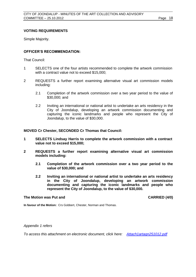### **VOTING REQUIREMENTS**

Simple Majority.

### **OFFICER'S RECOMMENDATION:**

That Council:

- 1 SELECTS one of the four artists recommended to complete the artwork commission with a contract value not to exceed \$15,000;
- 2 REQUESTS a further report examining alternative visual art commission models including:
	- 2.1 Completion of the artwork commission over a two year period to the value of \$30,000; and
	- 2.2 Inviting an international or national artist to undertake an arts residency in the City of Joondalup, developing an artwork commission documenting and capturing the iconic landmarks and people who represent the City of Joondalup, to the value of \$30,000.

**MOVED Cr Chester, SECONDED Cr Thomas that Council:**

- **1 SELECTS Lindsay Harris to complete the artwork commission with a contract value not to exceed \$15,000;**
- **2 REQUESTS a further report examining alternative visual art commission models including:**
	- **2.1 Completion of the artwork commission over a two year period to the value of \$30,000; and**
	- **2.2 Inviting an international or national artist to undertake an arts residency in the City of Joondalup, developing an artwork commission documenting and capturing the iconic landmarks and people who represent the City of Joondalup, to the value of \$30,000.**

#### **The Motion was Put and CARRIED (4/0)**

**In favour of the Motion:** Crs Gobbert, Chester, Norman and Thomas.

*Appendix 1 refers*

*To access this attachment on electronic document, click here[:](Attach1artagn251012.pdf) [Attach1artagn251012.pdf](Attachments/Attach1artagn251012.pdf)*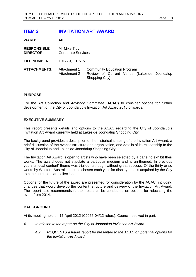# <span id="page-18-0"></span>**ITEM 3 INVITATION ART AWARD**

**WARD:** All

| <b>RESPONSIBLE</b><br><b>DIRECTOR:</b> | Mr Mike Tidy<br><b>Corporate Services</b> |                                                                                                     |  |  |
|----------------------------------------|-------------------------------------------|-----------------------------------------------------------------------------------------------------|--|--|
| <b>FILE NUMBER:</b>                    | 101779, 101515                            |                                                                                                     |  |  |
| <b>ATTACHMENTS:</b>                    | Attachment 1<br>Attachment 2              | <b>Community Education Program</b><br>Review of Current Venue (Lakeside Joondalup<br>Shopping City) |  |  |

### **PURPOSE**

For the Art Collection and Advisory Committee (ACAC) to consider options for further development of the City of Joondalup's Invitation Art Award 2013 onwards.

### **EXECUTIVE SUMMARY**

This report presents details and options to the ACAC regarding the City of Joondalup's Invitation Art Award currently held at Lakeside Joondalup Shopping City.

The background provides a description of the historical shaping of the Invitation Art Award, a brief discussion of the event's structure and organisation, and details of its relationship to the City of Joondalup and Lakeside Joondalup Shopping City.

The Invitation Art Award is open to artists who have been selected by a panel to exhibit their works. The award does not stipulate a particular medium and is un-themed. In previous years a 'local content' theme was trialled, although without great success. Of the thirty or so works by Western Australian artists chosen each year for display, one is acquired by the City to contribute to its art collection.

Options for the future of the award are presented for consideration by the ACAC, including changes that would develop the content, structure and delivery of the Invitation Art Award. The report also recommends further research be conducted on options for relocating the event from 2014.

#### **BACKGROUND**

At its meeting held on 17 April 2012 (CJ066-04/12 refers), Council resolved in part:

- *4 In relation to the report on the City of Joondalup Invitation Art Award:*
	- *4.2 REQUESTS a future report be presented to the ACAC on potential options for the Invitation Art Award.*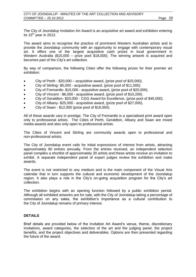The City of Joondalup Invitation Art Award is an acquisitive art award and exhibition entering its  $15<sup>th</sup>$  year in 2012.

The award aims to recognise the practice of prominent Western Australian artists and to provide the Joondalup community with an opportunity to engage with contemporary visual art. It offers one of the largest acquisitive cash prizes in local government in Western Australia (\$15,000 – prize pool \$18,000). The winning artwork is acquired and becomes part of the City's art collection.

By way of comparison, the following Cities offer the following prizes for their premier art exhibition:

- City of Perth \$20,000 acquisitive award, (prize pool of \$25,000).
- City of Stirling- \$5,000 acquisitive award, (prize pool of \$11,000).
- City of Fremantle- \$15,000 acquisitive award, (prize pool of \$20,000).
- City of Vincent \$6,000 acquisitive award, (prize pool of \$10,200).
- City of Geraldton- \$20,000 CGG Award for Excellence, (prize pool of \$45,000).
- City of Albany- \$25,000 acquisitive award, (prize pool of \$27,000).
- City of Swan \$12,000 (prize pool of \$16,000).

All of these awards vary in prestige. The City of Fremantle is a specialised print award open only to professional artists. The Cities of Perth, Geraldton, Albany and Swan are mixed media awards and also only open to professional artists.

The Cities of Vincent and Stirling are community awards open to professional and non-professional artists.

The City of Joondalup event calls for initial expressions of interest from artists, attracting approximately 90 entries annually. From the entries received, an independent selection panel compiles a shortlist of approximately 30 artists and these artists receive an invitation to exhibit. A separate independent panel of expert judges review the exhibition and make awards.

The event is not restricted to any medium and is the main component of the Visual Arts calendar that in turn supports the cultural and economic development of the Joondalup region. It also plays a role in the City's on-going acquisition program for the City's art collection.

The exhibition begins with an opening function followed by a public exhibition period. Although all exhibited artworks are for sale, with the City of Joondalup taking a percentage of commission on any sales, the exhibition's importance as a cultural contribution to the City of Joondalup remains of primary interest.

### **DETAILS**

Brief details are provided below of the Invitation Art Award's venue, theme, discretionary invitations, award categories, the selection of the art and the judging panel, the project benefits, and the project objectives and deliverables. Options are then presented regarding the future of the award.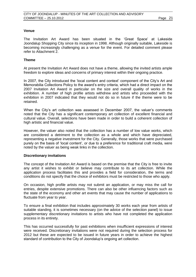#### **Venue**

The Invitation Art Award has been situated in the 'Great Space' at Lakeside Joondalup Shopping City since its inception in 1998. Although originally suitable, Lakeside is becoming increasingly challenging as a venue for the event. For detailed comment please refer to Attachment 2.

### **Theme**

At present the Invitation Art Award does not have a theme, allowing the invited artists ample freedom to explore ideas and concerns of primary interest within their ongoing practice.

In 2007, the City introduced the 'local content and context' component of the City's Art and Memorabilia Collections Policy to the award's entry criteria, which had a direct impact on the 2007 Invitation Art Award in particular on the size and overall quality of works in the exhibition. A number of high profile artists withdrew and artists who proceeded with the exhibition in 2007 indicated that they would not do so in future if the theme were to be retained.

When the City's art collection was assessed in December 2007, the valuer's comments noted that the City has a significant contemporary art collection of excellent financial and cultural value. Overall, selections have been made in order to build a coherent collection of high artistic and financial value.

However, the valuer also noted that the collection has a number of low value works, which are considered a detriment to the collection as a whole and which have depreciated, representing a negative investment for the City. Generally, those works that were purchased purely on the basis of 'local content', or due to a preference for traditional craft media, were noted by the valuer as being weak links in the collection.

#### **Discretionary invitations**

The concept of the Invitation Art Award is based on the premise that the City is free to invite any artist it wishes to exhibit or believe may contribute to its art collection. While the application process facilitates this and provides a field for consideration, the terms and conditions do not specify that the choice of exhibitors must be restricted to those who apply.

On occasion, high profile artists may not submit an application, or may miss the call for entries, despite extensive promotions. There can also be other influencing factors such as the state of the economy and other art events that may cause the number of applications to fluctuate from year to year.

To ensure a final exhibition that includes approximately 30 works each year from artists of suitable standing, it is sometimes necessary (on the advice of the selection panel) to issue supplementary discretionary invitations to artists who have not completed the application process in its entirety.

This has occurred successfully for past exhibitions when insufficient expressions of interest were received. Discretionary invitations were not required during the selection process for 2012 but these are expected to be issued in future years in order to achieve the highest standard of contribution to the City of Joondalup's ongoing art collection.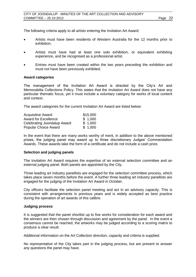The following criteria apply to all artists entering the Invitation Art Award:

- Artists must have been residents of Western Australia for the 12 months prior to exhibition.
- Artists must have had at least one solo exhibition, or equivalent exhibiting experience, and be recognised as a professional artist.
- Entries must have been created within the two years preceding the exhibition and must not have been previously exhibited.

#### **Award categories**

The management of the Invitation Art Award is directed by the City's Art and Memorabilia Collections Policy. This states that the Invitation Art Award does not have any particular thematic focus, yet it must include a voluntary category for works of local content and context.

The award categories for the current Invitation Art Award are listed below:

| <b>Acquisitive Award</b>    | \$15,000 |
|-----------------------------|----------|
| <b>Award for Excellence</b> | \$1,000  |
| Celebrating Joondalup Award | \$1,000  |
| <b>Popular Choice Award</b> | \$1,000  |

In the event that there are many works worthy of merit, in addition to the above mentioned prizes, the judging panel may award up to three discretionary Judges' Commendation Awards. These awards take the form of a certificate and do not include a cash prize.

#### **Selection and judging panels**

The Invitation Art Award requires the expertise of an external selection committee and an external judging panel. Both panels are appointed by the City.

Three leading art industry panellists are engaged for the selection committee process, which takes place seven months before the event. A further three leading art industry panellists are engaged for the judging of the Invitation Art Award in October.

City officers facilitate the selection panel meeting and act in an advisory capacity. This is consistent with arrangements in previous years and is widely accepted as best practice during the operation of art awards of this calibre.

#### **Judging process**

It is suggested that the panel shortlist up to five works for consideration for each award and the winners are then chosen through discussion and agreement by the panel. In the event a consensus cannot be reached, the artworks may be judged according to a scoring matrix to produce a clear result.

Additional information on the Art Collection direction, capacity and criteria is supplied.

No representative of the City takes part in the judging process, but are present to answer any questions the panel may have.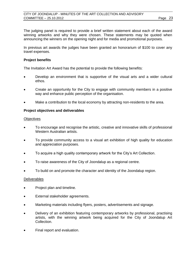The judging panel is required to provide a brief written statement about each of the award winning artworks and why they were chosen. These statements may be quoted when announcing the winners on the opening night and for media and promotional purposes.

In previous art awards the judges have been granted an honorarium of \$100 to cover any travel expenses.

### **Project benefits**

The Invitation Art Award has the potential to provide the following benefits:

- Develop an environment that is supportive of the visual arts and a wider cultural ethos.
- Create an opportunity for the City to engage with community members in a positive way and enhance public perception of the organisation.
- Make a contribution to the local economy by attracting non-residents to the area.

### **Project objectives and deliverables**

#### **Objectives**

- To encourage and recognise the artistic, creative and innovative skills of professional Western Australian artists.
- To provide community access to a visual art exhibition of high quality for education and appreciation purposes.
- To acquire a high quality contemporary artwork for the City's Art Collection.
- To raise awareness of the City of Joondalup as a regional centre.
- To build on and promote the character and identity of the Joondalup region.

#### **Deliverables**

- Project plan and timeline.
- External stakeholder agreements.
- Marketing materials including flyers, posters, advertisements and signage.
- Delivery of an exhibition featuring contemporary artworks by professional, practising artists, with the winning artwork being acquired for the City of Joondalup Art Collection.
- Final report and evaluation.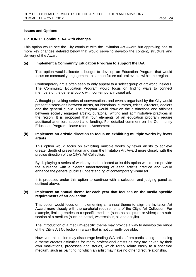#### **Issues and Options**

#### **OPTION 1: Continue IAA with changes**

This option would see the City continue with the Invitation Art Award but approving one or more key changes detailed below that would serve to develop the content, structure and delivery of the Award.

### **(a) Implement a Community Education Program to support the IAA**

This option would allocate a budget to develop an Education Program that would focus on community engagement to support future cultural events within the region.

Contemporary art is often seen to only appeal to a select group of art world insiders. The Community Education Program would focus on finding ways to connect members of the general public with contemporary visual art.

A thought-provoking series of conversations and events organised by the City would present discussions between artists, art historians, curators, critics, directors, dealers and the general public. The program would draw on the distinctions and affinities between socially engaged artistic, curatorial, writing and administrative practices in the region. It is proposed that four elements of an education program require additional attention, support and funding. For detailed comment on the Community Education Program please refer to Attachment 1.

#### **(b) Implement an artistic direction to focus on exhibiting multiple works by fewer artists**

This option would focus on exhibiting multiple works by fewer artists to achieve greater depth of presentation and align the Invitation Art Award more closely with the precise direction of the City's Art Collection.

By displaying a series of works by each selected artist this option would also provide the audience with a clearer understanding of each artist's practice and would enhance the general public's understanding of contemporary visual art.

It is proposed under this option to continue with a selection and judging panel as outlined above.

### **(c) Implement an annual theme for each year that focuses on the media specific requirements of art collection**

This option would focus on implementing an annual theme to align the Invitation Art Award more closely with the curatorial requirements of the City's Art Collection. For example, limiting entries to a specific medium (such as sculpture or video) or a subsection of a medium (such as pastel, watercolour, oil and acrylic).

The introduction of a medium-specific theme may provide a way to develop the range of the City's Art Collection in a way that is not currently possible.

However, this option may discourage leading WA artists from participating. Imposing a theme creates difficulties for many professional artists as they are driven by their own motivations, processes and stories, which rarely relate easily to a specified medium, such as painting, to which an artist may have no other direct relationship.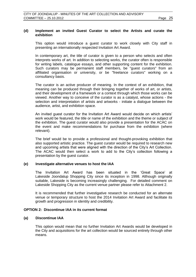### **(d) Implement an invited Guest Curator to select the Artists and curate the exhibition**

This option would introduce a guest curator to work closely with City staff in presenting an internationally respected Invitation Art Award.

In contemporary art, the title of curator is given to a person who selects and often interprets works of art. In addition to selecting works, the curator often is responsible for writing labels, catalogue essays, and other supporting content for the exhibition. Such curators may be permanent staff members, be "guest curators" from an affiliated organisation or university, or be "freelance curators" working on a consultancy basis.

The curator is an active producer of meaning. In the context of an exhibition, that meaning can be produced through their bringing together of works of art, or artists, and their development of a framework or a context through which those works can be viewed. Another way to conceive of the curator is as a catalyst, whose actions - the selection and interpretation of artists and artworks - initiate a dialogue between the audience, artist, and exhibition space.

An invited guest curator for the Invitation Art Award would decide on which artists' work would be featured, the title or name of the exhibition and the theme or subject of the exhibition. The guest curator would also provide a presentation for the ACAC on the event and make recommendations for purchase from the exhibition (where relevant).

The brief would be to provide a professional and thought-provoking exhibition that also supported artistic practice. The guest curator would be required to research new and upcoming artists that were aligned with the direction of the City's Art Collection. The ACAC would then select a work to add to the City's collection following a presentation by the guest curator.

#### **(e) Investigate alternative venues to host the IAA**

The Invitation Art Award has been situated in the 'Great Space' at Lakeside Joondalup Shopping City since its inception in 1998. Although originally suitable, Lakeside is becoming increasingly challenging. For detailed comment on Lakeside Shopping City as the current venue partner please refer to Attachment 2.

It is recommended that further investigative research be conducted for an alternate venue or temporary structure to host the 2014 Invitation Art Award and facilitate its growth and progression in identity and credibility.

#### **OPTION 2: Discontinue IAA in its current format**

#### **(a) Discontinue IAA**

This option would mean that no further Invitation Art Awards would be developed in the City and acquisitions for the art collection would be sourced entirely through other means.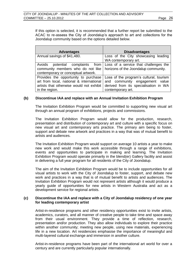If this option is selected, it is recommended that a further report be submitted to the ACAC to re-assess the City of Joondalup's approach to art and collections for the Joondalup community based on the options detailed below.

| <b>Advantages</b>                                                                                                                              | <b>Disadvantages</b>                                                                                                                    |
|------------------------------------------------------------------------------------------------------------------------------------------------|-----------------------------------------------------------------------------------------------------------------------------------------|
| Annual savings of \$41,480.                                                                                                                    | Loss of the City showcasing leading<br>WA contemporary art.                                                                             |
| Avoids potential complaints from<br>community members who do not like<br>contemporary or conceptual artwork.                                   | Loss of a service that challenges the<br>horizons of the Joondalup community.                                                           |
| Provides the opportunity to purchase<br>art from local, national & international<br>artists that otherwise would not exhibit<br>in the region. | Loss of the program's cultural, tourism<br>and community engagement value<br>derived from its specialisation in WA<br>contemporary art. |

### **(b) Discontinue IAA and replace with an Annual Invitation Exhibition Program**

The Invitation Exhibition Program would be committed to supporting new visual art through an annual program of exhibitions, projects and commissions.

The Invitation Exhibition Program would allow for the production, research, presentation and distribution of contemporary art and culture with a specific focus on new visual art and contemporary arts practice. The primary aim being to foster, support and debate new artwork and practices in a way that was of mutual benefit to artists and audiences.

The Invitation Exhibition Program would support on average 10 artists a year to make new work and would make this work accessible through a range of exhibitions, events and opportunities to participate in making and learning. The Invitation Exhibition Program would operate primarily in the blend(er) Gallery facility and assist in delivering a full year program for all residents of the City of Joondalup.

The aim of the Invitation Exhibition Program would be to include opportunities for all visual artists to work with the City of Joondalup to foster, support, and debate new work and practices in a way that is of mutual benefit to artists and audiences. The Invitation Exhibition Program would not represent artists although it would produce a yearly guide of opportunities for new artists in Western Australia and act as a development service for regional artists.

#### **(c) Discontinue the IAA and replace with a City of Joondalup residency of one year for leading contemporary artist**

Artist-in-residence programs and other residency opportunities exist to invite artists, academics, curators, and all manner of creative people to take time and space away from their usual environment. They provide a time of reflection, research, presentation and/or production. They also allow individuals to explore their practice within another community; meeting new people, using new materials, experiencing life in a new location. Art residencies emphasise the importance of meaningful and multi-layered cultural exchange and immersion in another culture.

Artist-in-residence programs have been part of the international art world for over a century and are currently particularly popular internationally.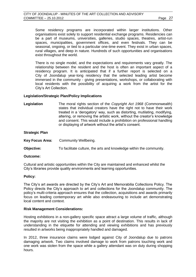Some residency programs are incorporated within larger institutions. Other organisations exist solely to support residential exchange programs. Residencies can be a part of museums, universities, galleries, studio spaces, theatres, [artist-run](http://en.wikipedia.org/wiki/Artist-run_space)  [spaces,](http://en.wikipedia.org/wiki/Artist-run_space) municipalities, government offices, and even festivals. They can be seasonal, ongoing, or tied to a particular one-time event. They exist in urban spaces, rural villages, and deep in nature. Hundreds of such opportunities and organisations exist throughout the world.

There is no single model, and the expectations and requirements vary greatly. The relationship between the resident and the host is often an important aspect of a residency program. It is anticipated that if a further report is selected on a City of Joondalup year-long residency that the selected leading artist become immersed in the community - giving presentations, workshops, or collaborating with local residents with the possibility of acquiring a work from the artist for the City's Art Collection.

#### **Legislation/Strategic Plan/Policy Implications**

**Legislation** The moral rights section of the *Copyright Act 1968* (Commonwealth) states that individual creators have the right not to have their work treated in a 'derogatory' way, such as distorting, mutilating, modifying, altering, or removing the artistic work, without the creator's knowledge and consent. This would include a prohibition on professional handling or displaying of artwork without the artist's consent.

| <b>Strategic Plan</b> |                                                                     |
|-----------------------|---------------------------------------------------------------------|
| Key Focus Area:       | Community Wellbeing.                                                |
| <b>Objective:</b>     | To facilitate culture, the arts and knowledge within the community. |

#### **Outcome:**

Cultural and artistic opportunities within the City are maintained and enhanced whilst the City's libraries provide quality environments and learning opportunities.

#### **Policy:**

The City's art awards are directed by the City's Art and Memorabilia Collections Policy. The Policy directs the City's approach to art and collections for the Joondalup community. The policy's multi-criteria approach ensures that the collection, acquisitions and awards primarily focus on leading contemporary art while also endeavouring to include art demonstrating local content and context.

#### **Risk Management Considerations:**

Hosting exhibitions in a non-gallery specific space attract a large volume of traffic, although the majority are not visiting the exhibition as a point of destination. This results in lack of understanding in the etiquette for attending and viewing exhibitions and has previously resulted in artworks being inappropriately handled and damaged.

In 2012, three insurance claims were lodged against City of Joondalup due to patrons damaging artwork. Two claims involved damage to work from patrons touching work and one work was stolen from the space while a gallery attendant was on duty during shopping hours.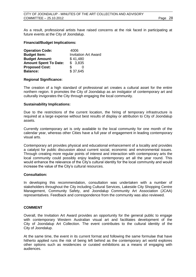As a result, professional artists have raised concerns at the risk faced in participating at future events at the City of Joondalup.

#### **Financial/Budget Implications:**

| <b>Operation Code:</b>       | 4006                        |
|------------------------------|-----------------------------|
| <b>Budget Item:</b>          | <b>Invitation Art Award</b> |
| <b>Budget Amount:</b>        | \$41,480                    |
| <b>Amount Spent To Date:</b> | \$3,835                     |
| <b>Proposed Cost:</b>        | \$                          |
| <b>Balance:</b>              | \$37,645                    |

### **Regional Significance:**

The creation of a high standard of professional art creates a cultural asset for the entire northern region. It promotes the City of Joondalup as an instigator of contemporary art and culturally invigorates the City through engaging the local community.

### **Sustainability Implications:**

Due to the restrictions of the current location, the hiring of temporary infrastructure is required at a large expense without best results of display or attribution to City of Joondalup assets.

Currently contemporary art is only available to the local community for one month of the calendar year, whereas other Cities have a full year of engagement in leading contemporary visual arts.

Contemporary art provides physical and educational enhancement of a locality and provides a catalyst for public discussion about current social, economic and environmental issues. Through creating more regular points of interest and interaction with contemporary arts the local community could possibly enjoy leading contemporary art all the year round. This would enhance the relevance of the City's cultural identity for the local community and would increase the value of the City's cultural resources.

#### **Consultation:**

In developing this recommendation, consultation was undertaken with a number of stakeholders throughout the City including Cultural Services, Lakeside City Shopping Centre Management, Community Safety, and Joondalup Community Art Association (JCAA) representatives. Feedback and correspondence from the community was also reviewed.

### **COMMENT**

Overall, the Invitation Art Award provides an opportunity for the general public to engage with contemporary Western Australian visual art and facilitates development of the City of Joondalup Art Collection. The event contributes to the cultural identity of the City of Joondalup.

At the same time, the event in its current format and following the same formulae that have hitherto applied runs the risk of being left behind as the contemporary art world explores other options such as residencies or curated exhibitions as a means of engaging with audiences.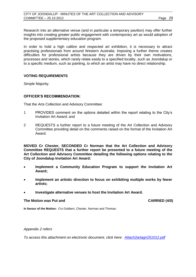Research into an alternative venue (and in particular a temporary pavilion) may offer further insights into creating greater public engagement with contemporary art as would adoption of the proposed supplementary education program.

In order to hold a high calibre and respected art exhibition, it is necessary to attract practising professionals from around Western Australia. Imposing a further theme creates difficulties for professional artists because they are driven by their own motivations, processes and stories, which rarely relate easily to a specified locality, such as Joondalup or to a specific medium, such as painting, to which an artist may have no direct relationship.

### **VOTING REQUIREMENTS**

Simple Majority.

### **OFFICER'S RECOMMENDATION:**

That the Arts Collection and Advisory Committee:

- 1 PROVIDES comment on the options detailed within the report relating to the City's Invitation Art Award; and
- 2 REQUESTS a further report to a future meeting of the Art Collection and Advisory Committee providing detail on the comments raised on the format of the Invitation Art Award.

**MOVED Cr Chester, SECONDED Cr Norman that the Art Collection and Advisory Committee REQUESTS that a further report be presented to a future meeting of the Art Collection and Advisory Committee detailing the following options relating to the City of Joondalup Invitation Art Award:**

- **Implement a Community Education Program to support the Invitation Art Award;**
- **Implement an artistic direction to focus on exhibiting multiple works by fewer artists;**
- **Investigate alternative venues to host the Invitation Art Award.**

#### **The Motion was Put and CARRIED (4/0)**

**In favour of the Motion:** Crs Gobbert, Chester, Norman and Thomas.

#### *Appendix 2 refers*

*To access this attachment on electronic document, click her[e:](Attach2artagn251012.pdf) [Attach2artagn251012.pdf](Attachments/Attach2artagn251012.pdf)*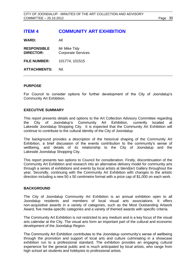# <span id="page-29-0"></span>**ITEM 4 COMMUNITY ART EXHIBITION**

**WARD:** All

**RESPONSIBLE** Mr Mike Tidy **DIRECTOR:** Corporate Services **FILE NUMBER:** 101774, 101515

**ATTACHMENTS:** Nil.

### **PURPOSE**

For Council to consider options for further development of the City of Joondalup's Community Art Exhibition.

### **EXECUTIVE SUMMARY**

This report presents details and options to the Art Collection Advisory Committee regarding the City of Joondalup's Community Art Exhibition, currently located at Lakeside Joondalup Shopping City. It is expected that the Community Art Exhibition will continue to contribute to the cultural identity of the City of Joondalup.

The background provides a description of the historical shaping of the Community Art Exhibition, a brief discussion of the events contribution to the community's sense of wellbeing, and details of its relationship to the City of Joondalup and the Lakeside Joondalup Shopping City.

This report presents two options to Council for consideration. Firstly, discontinuation of the Community Art Exhibition and research into an alternative delivery model for community arts through a series of exhibitions and events by local artists at blend(er) Gallery throughout the year. Secondly, continuing with the Community Art Exhibition with changes to the artistic direction including a new 50 x 50 centimetre format with a price cap of \$1,000 on each work.

#### **BACKGROUND**

The City of Joondalup Community Art Exhibition is an annual exhibition open to all Joondalup residents and members of local visual arts associations. It offers non-acquisitive awards in a variety of categories, such as the Most Outstanding Artwork Award, five media-specific categories and a variety of themed awards with specific criteria.

The Community Art Exhibition is not restricted to any medium and is a key focus of the visual arts calendar at the City. The visual arts form an important part of the cultural and economic development of the Joondalup Region.

The Community Art Exhibition contributes to the Joondalup community's sense of wellbeing through the promotion and support of local arts and culture culminating in a showcase exhibition run to a professional standard. The exhibition provides an engaging cultural experience for the general public and is much anticipated by local artists, who range from high school art students and hobbyists to professional artists.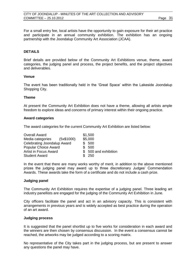For a small entry fee, local artists have the opportunity to gain exposure for their art practice and participate in an annual community exhibition. The exhibition has an ongoing partnership with the Joondalup Community Art Association (JCAA).

#### **DETAILS**

Brief details are provided below of the Community Art Exhibitions venue, theme, award categories, the judging panel and process, the project benefits, and the project objectives and deliverables.

#### **Venue**

The event has been traditionally held in the 'Great Space' within the Lakeside Joondalup Shopping City.

#### **Theme**

At present the Community Art Exhibition does not have a theme, allowing all artists ample freedom to explore ideas and concerns of primary interest within their ongoing practice.

#### **Award categories**

The award categories for the current Community Art Exhibition are listed below:

| <b>Overall Award</b>         |  | \$1,500               |
|------------------------------|--|-----------------------|
| Media categories (5x\$1000)  |  | \$5,000               |
| Celebrating Joondalup Award  |  | \$500                 |
| <b>Popular Choice Award</b>  |  | \$ 500                |
| <b>Artist in Focus Award</b> |  | \$ 500 and exhibition |
| <b>Student Award</b>         |  | \$250                 |

In the event that there are many works worthy of merit, in addition to the above mentioned prizes the judging panel may award up to three discretionary Judges' Commendation Awards. These awards take the form of a certificate and do not include a cash prize.

#### **Judging panel**

The Community Art Exhibition requires the expertise of a judging panel. Three leading art industry panellists are engaged for the judging of the Community Art Exhibition in June.

City officers facilitate the panel and act in an advisory capacity. This is consistent with arrangements in previous years and is widely accepted as best practice during the operation of an art award.

#### **Judging process**

It is suggested that the panel shortlist up to five works for consideration in each award and the winners are then chosen by consensus discussion. In the event a consensus cannot be reached, the artworks may be judged according to a scoring matrix.

No representative of the City takes part in the judging process, but are present to answer any questions the panel may have.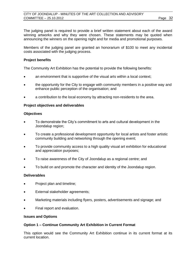The judging panel is required to provide a brief written statement about each of the award winning artworks and why they were chosen. These statements may be quoted when announcing the winners on the opening night and for media and promotional purposes.

Members of the judging panel are granted an honorarium of \$100 to meet any incidental costs associated with the judging process.

### **Project benefits**

The Community Art Exhibition has the potential to provide the following benefits:

- an environment that is supportive of the visual arts within a local context;
- the opportunity for the City to engage with community members in a positive way and enhance public perception of the organisation; and
- a contribution to the local economy by attracting non-residents to the area.

### **Project objectives and deliverables**

### **Objectives**

- To demonstrate the City's commitment to arts and cultural development in the Joondalup region;
- To create a professional development opportunity for local artists and foster artistic community building and networking through the opening event;
- To provide community access to a high quality visual art exhibition for educational and appreciation purposes;
- To raise awareness of the City of Joondalup as a regional centre; and
- To build on and promote the character and identity of the Joondalup region.

#### **Deliverables**

- Project plan and timeline;
- External stakeholder agreements;
- Marketing materials including flyers, posters, advertisements and signage; and
- Final report and evaluation.

#### **Issues and Options**

#### **Option 1 – Continue Community Art Exhibition in Current Format**

This option would see the Community Art Exhibition continue in its current format at its current location.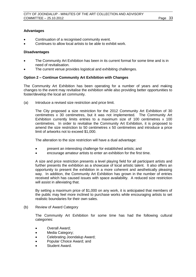### **Advantages**

- Continuation of a recognised community event.
- Continues to allow local artists to be able to exhibit work.

#### **Disadvantages**

- The Community Art Exhibition has been in its current format for some time and is in need of revitalisation.
- The current venue provides logistical and exhibiting challenges.

### **Option 2 – Continue Community Art Exhibition with Changes**

The Community Art Exhibition has been operating for a number of years and making changes to the event may revitalise the exhibition while also providing better opportunities to foster/develop the local art community.

(a) Introduce a revised size restriction and price limit.

The City proposed a size restriction for the 2012 Community Art Exhibition of 30 centimetres x 30 centimetres, but it was not implemented. The Community Art Exhibition currently limits entries to a maximum size of 100 centimetres x 100 centimetres. In order to revitalise the Community Art Exhibition, it is proposed to amend the size restriction to 50 centimetres x 50 centimetres and introduce a price limit of artworks not to exceed \$1,000.

The alteration to the size restriction will have a dual advantage:

- present an interesting challenge for established artists; and
- encourage amateur artists to enter an exhibition for the first time.

A size and price restriction presents a level playing field for all participant artists and further presents the exhibition as a showcase of local artistic talent. It also offers an opportunity to present the exhibition in a more coherent and aesthetically pleasing way. In addition, the Community Art Exhibition has grown in the number of entries received which has caused issues with space availability. A reduced size restriction will assist in alleviating that.

By setting a maximum price of \$1,000 on any work, it is anticipated that members of the public may feel more inclined to purchase works while encouraging artists to set realistic boundaries for their own sales.

(b) Review of Award Category

The Community Art Exhibition for some time has had the following cultural categories:

- Overall Award:
- Media Category;
- Celebrating Joondalup Award;
- Popular Choice Award; and
- Student Award.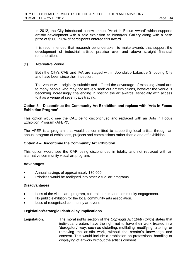In 2012, the City introduced a new annual 'Artist in Focus Award' which supports artistic development with a solo exhibition at 'blend(er)' Gallery along with a cash prize of \$500. 96% of participants entered this award.

It is recommended that research be undertaken to make awards that support the development of industrial artistic practice over and above straight financial remuneration.

(c) Alternative Venue

Both the City's CAE and IAA are staged within Joondalup Lakeside Shopping City and have been since their inception.

The venue was originally suitable and offered the advantage of exposing visual arts to many people who may not actively seek out art exhibitions, however the venue is becoming increasingly challenging in hosting the art awards, especially with access to it as a venue of seven days trading.

### **Option 3 – Discontinue the Community Art Exhibition and replace with 'Arts in Focus Exhibition Program'**

This option would see the CAE being discontinued and replaced with an 'Arts in Focus Exhibition Program (AFEP)'.

The AFEP is a program that would be committed to supporting local artists through an annual program of exhibitions, projects and commissions rather than a one off exhibition.

#### **Option 4 – Discontinue the Community Art Exhibition**

This option would see the CAR being discontinued in totality and not replaced with an alternative community visual art program.

#### **Advantages**

- Annual savings of approximately \$30,000.
- Priorities would be realigned into other visual art programs.

#### **Disadvantages**

- Loss of the visual arts program, cultural tourism and community engagement.
- No public exhibition for the local community arts association.
- Loss of recognised community art event.

#### **Legislation/Strategic Plan/Policy Implications**

**Legislation:** The moral rights section of the *Copyright Act 1968* (Cwth) states that individual creators have the right not to have their work treated in a 'derogatory' way, such as distorting, mutilating, modifying, altering, or removing the artistic work, without the creator's knowledge and consent. This would include a prohibition on professional handling or displaying of artwork without the artist's consent.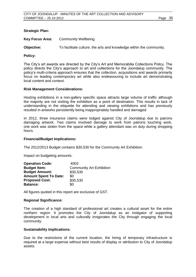### **Strategic Plan:**

**Key Focus Area:** Community Wellbeing.

**Objective:** To facilitate culture, the arts and knowledge within the community.

#### **Policy:**

The City's art awards are directed by the City's Art and Memorabilia Collections Policy. The policy directs the City's approach to art and collections for the Joondalup community. The policy's multi-criteria approach ensures that the collection, acquisitions and awards primarily focus on leading contemporary art while also endeavouring to include art demonstrating local content and context.

#### **Risk Management Considerations:**

Hosting exhibitions in a non-gallery specific space attracts large volume of traffic although the majority are not visiting the exhibition as a point of destination. This results in lack of understanding in the etiquette for attending and viewing exhibitions and has previously resulted in artworks persistently being inappropriately handled and damaged.

In 2012, three insurance claims were lodged against City of Joondalup due to patrons damaging artwork. Two claims involved damage to work from patrons touching work, one work was stolen from the space while a gallery attendant was on duty during shopping hours.

#### **Financial/Budget Implications:**

The 2012/2013 Budget contains \$30,530 for the Community Art Exhibition.

Impact on budgeting amounts:

| <b>Operation Code:</b>       | 4003                            |
|------------------------------|---------------------------------|
| <b>Budget Item:</b>          | <b>Community Art Exhibition</b> |
| <b>Budget Amount:</b>        | \$30,530                        |
| <b>Amount Spent To Date:</b> | \$0                             |
| <b>Proposed Cost:</b>        | \$30,530                        |
| <b>Balance:</b>              | \$0                             |

All figures quoted in this report are exclusive of GST.

#### **Regional Significance:**

The creation of a high standard of professional art creates a cultural asset for the entire northern region. It promotes the City of Joondalup as an instigator of supporting development in local arts and culturally invigorates the City through engaging the local community.

#### **Sustainability Implications:**

Due to the restrictions of the current location, the hiring of temporary infrastructure is required at a large expense without best results of display or attribution to City of Joondalup assets.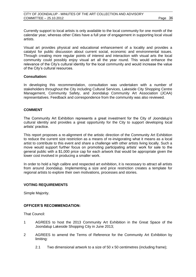Currently support to local artists is only available to the local community for one month of the calendar year, whereas other Cities have a full year of engagement in supporting local visual artists.

Visual art provides physical and educational enhancement of a locality and provides a catalyst for public discussion about current social, economic and environmental issues. Through creating more regular points of interest and interaction with visual arts the local community could possibly enjoy visual art all the year round. This would enhance the relevance of the City's cultural identity for the local community and would increase the value of the City's cultural resources.

#### **Consultation:**

In developing this recommendation, consultation was undertaken with a number of stakeholders throughout the City including Cultural Services, Lakeside City Shopping Centre Management, Community Safety, and Joondalup Community Art Association (JCAA) representatives. Feedback and correspondence from the community was also reviewed.

#### **COMMENT**

The Community Art Exhibition represents a great investment for the City of Joondalup's cultural identity and provides a great opportunity for the City to support developing local artists' practice.

This report proposes a re-alignment of the artistic direction of the Community Art Exhibition to reduce the current size restriction as a means of re-invigorating what it means as a local artist to contribute to this event and share a challenge with other artists living locally. Such a move would support further focus on promoting participating artists' work for sale to the general public with a \$1,000 price cap for each artwork that would be appropriate given the lower cost involved in producing a smaller work.

In order to hold a high calibre and respected art exhibition, it is necessary to attract all artists from around Joondalup. Implementing a size and price restriction creates a template for regional artists to explore their own motivations, processes and stories.

#### **VOTING REQUIREMENTS**

Simple Majority.

#### **OFFICER'S RECOMMENDATION:**

That Council:

- 1 AGREES to host the 2013 Community Art Exhibition in the Great Space of the Joondalup Lakeside Shopping City in June 2013;
- 2 AGREES to amend the Terms of Reference for the Community Art Exhibition by limiting:
	- 2.1 Two dimensional artwork to a size of 50 x 50 centimetres (including frame);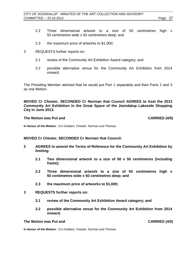- 2.2 Three dimensional artwork to a size of 50 centimetres high x 50 centimetres wide x 50 centimetres deep; and
- 2.3 the maximum price of artworks to \$1,000;
- 3 REQUESTS further reports on:
	- 3.1 review of the Community Art Exhibition Award category; and
	- 3.2 possible alternative venue for the Community Art Exhibition from 2014 onward.

The Presiding Member advised that he would put Part 1 separately and then Parts 2 and 3 as one Motion.

**MOVED Cr Chester, SECONDED Cr Norman that Council AGREES to host the 2013 Community Art Exhibition in the Great Space of the Joondalup Lakeside Shopping City in June 2013.**

#### **The Motion was Put and CARRIED (4/0)**

**In favour of the Motion:** Crs Gobbert, Chester, Norman and Thomas.

### **MOVED Cr Chester, SECONDED Cr Norman that Council:**

- **2 AGREES to amend the Terms of Reference for the Community Art Exhibition by limiting:** 
	- **2.1 Two dimensional artwork to a size of 50 x 50 centimetres (including frame);**
	- **2.2 Three dimensional artwork to a size of 50 centimetres high x 50 centimetres wide x 50 centimetres deep; and**
	- **2.3 the maximum price of artworks to \$1,000;**
- **3 REQUESTS further reports on:**
	- **3.1 review of the Community Art Exhibition Award category; and**
	- **3.2 possible alternative venue for the Community Art Exhibition from 2014 onward.**

### **The Motion was Put and CARRIED (4/0)**

**In favour of the Motion:** Crs Gobbert, Chester, Norman and Thomas.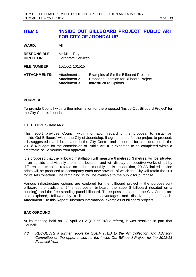# <span id="page-37-0"></span>**ITEM 5 'INSIDE OUT BILLBOARD PROJECT' PUBLIC ART FOR CITY OF JOONDALUP**

| <b>WARD:</b> | All |
|--------------|-----|
|              |     |

| <b>RESPONSIBLE</b> | Mr Mike Tidy              |  |
|--------------------|---------------------------|--|
| <b>DIRECTOR:</b>   | <b>Corporate Services</b> |  |
|                    |                           |  |

**FILE NUMBER:** 102552, 101515

| <b>ATTACHMENTS:</b> | Attachment 1<br>Attachment 2 | <b>Examples of Similar Billboard Projects</b><br>Proposed Location for Billboard Project |
|---------------------|------------------------------|------------------------------------------------------------------------------------------|
|                     | Attachment 3                 | Infrastructure Options                                                                   |

### **PURPOSE**

To provide Council with further information for the proposed 'Inside Out Billboard Project' for the City Centre, Joondalup.

### **EXECUTIVE SUMMARY**

This report provides Council with information regarding the proposal to install an 'Inside Out Billboard' within the City of Joondalup. If agreement is for the project to proceed, it is suggested that it be located in the City Centre and proposed for consideration in the 2013/14 budget for the commission of Public Art. It is expected to be completed within a timeframe of 12 months from approval.

It is proposed that the billboard installation will measure 6 metres x 3 metres, will be situated in an outside and visually prominent location, and will display consecutive works of art by different artists to be rotated on a three monthly basis. In addition, 20 A3 limited edition prints will be produced to accompany each new artwork, of which the City will retain the first for its Art Collection. The remaining 19 will be available to the public for purchase.

Various infrastructure options are explored for the billboard project – the purpose-built billboard, the traditional 24 sheet poster billboard, the super-8 billboard (located on a building), and the free-standing panel billboard. Three possible sites in the City Centre are also explored, followed by a list of the advantages and disadvantages of each. Attachment 1 to this Report illustrates international examples of billboard projects.

### **BACKGROUND**

At its meeting held on 17 April 2012 (CJ066-04/12 refers), it was resolved in part that Council:

*7.3 REQUESTS a further report be SUBMITTED to the Art Collection and Advisory Committee on the opportunities for the Inside-Out Billboard Project for the 2012/13 Financial Year.*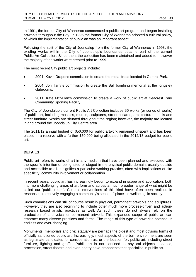In 1991, the former City of Wanneroo commenced a public art program and began installing artworks throughout the City. In 1995 the former City of Wanneroo adopted a cultural policy, of which the implementation of public art was an important aspect.

Following the split of the City of Joondalup from the former City of Wanneroo in 1998, the existing works within the City of Joondalup's boundaries became part of the current Public Art Collection. Since then, the collection has been maintained and added to, however the majority of the works were created prior to 1999.

The most recent City public art projects include:

- 2001: Kevin Draper's commission to create the metal trees located in Central Park.
- 2004: Jon Tarry's commission to create the Bali bombing memorial at the Kingsley clubrooms.
- 2011: Kate McMillan's commission to create a work of public art at Seacrest Park Community Sporting Facility.

The City of Joondalup's current Public Art Collection includes 35 works (or series of works) of public art, including mosaics, murals, sculptures, street bollards, architectural details and street furniture. Works are situated throughout the region; however, the majority are located in and around the Joondalup City Centre area.

The 2011/12 annual budget of \$50,000 for public artwork remained unspent and has been placed in a reserve with a further \$50,000 being allocated in the 2012/13 budget for public art.

### **DETAILS**

Public art refers to works of art in any medium that have been planned and executed with the specific intention of being sited or staged in the physical public domain, usually outside and accessible to all. It signifies a particular working practice, often with implications of site specificity, community involvement or collaboration.

In recent years, public art has increasingly begun to expand in scope and application, both into more challenging areas of art form and across a much broader range of what might be called our 'public realm'. Cultural interventions of this kind have often been realised in response to creatively engaging a community's sense of 'place' or 'wellbeing' in society.

Such commissions can still of course result in physical, permanent artworks and sculptures. However, they are also beginning to include other much more process-driven and actionresearch based artistic practices as well. As such, these do not always rely on the production of a physical or permanent artwork. This expanded scope of public art can embrace many diverse practices and forms. The range of this type of artwork's potential is endless and ever-changing.

Monuments, memorials and civic statuary are perhaps the oldest and most obvious forms of officially sanctioned public art. Increasingly, most aspects of the built environment are seen as legitimate candidates for consideration as, or the location for, public art, including street furniture, lighting and graffiti. Public art is not confined to physical objects – dance, procession, street theatre and even poetry have proponents that specialise in public art.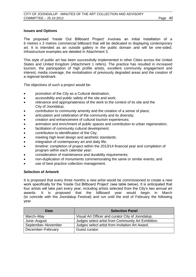### **Issues and Options**

The proposed 'Inside Out Billboard Project' involves an initial installation of a 6 metres x 3 metres commercial billboard that will be dedicated to displaying contemporary art. It is intended as an outside gallery in the public domain and will be one-sided. Infrastructure examples are detailed in Attachment 3.

This style of public art has been successfully implemented in other Cities across the United States and United Kingdom (Attachment 1 refers). The practice has resulted in increased tourism, the participation of high profile artists, excellent community engagement and interest, media coverage, the revitalisation of previously degraded areas and the creation of a regional landmark.

The objectives of such a project would be:

- promotion of the City as a Cultural destination;
- accessibility and public safety of the site and work;
- relevance and appropriateness of the work to the context of its site and the City of Joondalup;
- contribution to community amenity and the creation of a sense of place;
- articulation and celebration of the community and its diversity;
- creation and enhancement of cultural tourism experiences;
- animation and enrichment of public spaces and contribution to urban regeneration;
- facilitation of community cultural development;
- contribution to identification of the City;
- meeting high level design and aesthetic standards;
- integration of contemporary art and daily life;
- timeline: completion of project within the 2013/14 financial year and completion of program within each calendar year;
- consideration of maintenance and durability requirements;
- non-duplication of monuments commemorating the same or similar events; and
- use of best practice collection management.

#### **Selection of Artwork**

It is proposed that every three months a new artist would be commissioned to create a new work specifically for the 'Inside Out Billboard Project' (see table below). It is anticipated that four artists will take part every year, including artists selected from the City's two annual art awards. It is proposed that the billboard year would begin in March (to coincide with the Joondalup Festival) and run until the end of February the following year.

| Date               | <b>Selection Panel</b>                              |
|--------------------|-----------------------------------------------------|
| March-May          | Visual Art Officer and curator City of Joondalup.   |
| June-August        | Judges select artist from Community Art Exhibition. |
| September-November | Judges select artist from Invitation Art Award.     |
| December-February  | Guest curator.                                      |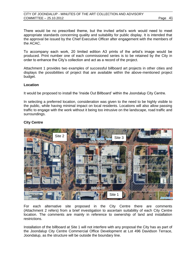There would be no prescribed theme, but the invited artist's work would need to meet appropriate standards concerning quality and suitability for public display. It is intended that the approval be issued by the Chief Executive Officer after engagement with the members of the ACAC.

To accompany each work, 20 limited edition A3 prints of the artist's image would be produced. Print number one of each commissioned series is to be retained by the City in order to enhance the City's collection and act as a record of the project.

Attachment 1 provides two examples of successful billboard art projects in other cities and displays the possibilities of project that are available within the above-mentioned project budget.

### **Location**

It would be proposed to install the 'Inside Out Billboard' within the Joondalup City Centre.

In selecting a preferred location, consideration was given to the need to be highly visible to the public, while having minimal impact on local residents. Locations will also allow passing traffic to engage with the work without it being too intrusive on the landscape, road traffic and surroundings.

### **City Centre**



For each alternative site proposed in the City Centre there are comments (Attachment 2 refers) from a brief investigation to ascertain suitability of each City Centre location. The comments are mainly in reference to ownership of land and installation restrictions.

Installation of the billboard at Site 1 will not interfere with any proposal the City has as part of the Joondalup City Centre Commercial Office Development at Lot 496 Davidson Terrace, Joondalup, as the structure will be outside the boundary line.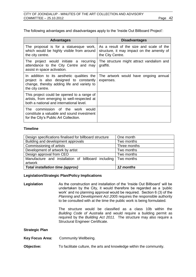The following advantages and disadvantages apply to the 'Inside Out Billboard Project':

| <b>Advantages</b>                                                                                                                                      | <b>Disadvantages</b>                                                                                       |  |
|--------------------------------------------------------------------------------------------------------------------------------------------------------|------------------------------------------------------------------------------------------------------------|--|
| The proposal is for a statuesque work,<br>which would be highly visible from around<br>the city centre.                                                | As a result of the size and scale of the<br>structure, it may impact on the amenity of<br>the City Centre. |  |
| The project would initiate a recurring<br>attendance to the City Centre and may<br>assist in space activation.                                         | The structure might attract vandalism and<br>graffiti.                                                     |  |
| In addition to its aesthetic qualities the<br>project is also designed to constantly<br>change, thereby adding life and variety to<br>the city centre. | The artwork would have ongoing annual<br>expenses.                                                         |  |
| This project could be opened to a range of<br>artists, from emerging to well-respected at<br>both a national and international level.                  |                                                                                                            |  |
| The commission of the work would<br>constitute a valuable and sound investment<br>for the City's Public Art Collection.                                |                                                                                                            |  |

### **Timeline**

| Design specifications finalised for billboard structure        | One month    |
|----------------------------------------------------------------|--------------|
| Building and development approvals                             | Two months   |
| Commissioning of artists                                       | Three months |
| Development of artwork by artist                               | Two months   |
| Design approval from CEO                                       | Two months   |
| Manufacture and installation of billboard including<br>artwork | Two months   |
| Total installation time (approx)                               | 12 months    |

#### **Legislation/Strategic Plan/Policy Implications**

Legislation **As the construction and installation of the 'Inside Out Billboard' will be** undertaken by the City, it would therefore be regarded as a 'public work' and no planning approval would be required. Section 6 (3) of the *Planning and Development Act 2005* requires the responsible authority to be consulted with at the time the public work is being formulated.

> The structure would be classified as a class 10b within the *Building Code of Australia* and would require a building permit as required by the *Building Act 2011.* The structure may also require a Structural Engineer Certificate.

**Strategic Plan**

**Key Focus Area:** Community Wellbeing.

**Objective:** To facilitate culture, the arts and knowledge within the community.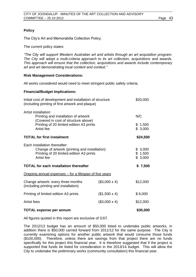### **Policy**

The City's Art and Memorabilia Collection Policy.

The current policy states:

*"The City will support Western Australian art and artists through an art acquisition program. The City will adopt a multi-criteria approach to its art collection, acquisitions and awards. This approach will ensure that the collection, acquisitions and awards include contemporary art and art demonstrating local content and context."*

### **Risk Management Considerations:**

All works considered would need to meet stringent public safety criteria.

### **Financial/Budget Implications:**

| Initial cost of development and installation of structure<br>(including printing of first artwork and plaque)                            |                     | \$20,000                      |  |
|------------------------------------------------------------------------------------------------------------------------------------------|---------------------|-------------------------------|--|
| Artist installation:<br>Printing and installation of artwork<br>(Covered in cost of structure above)                                     |                     | N/C                           |  |
| Printing of 20 limited edition A3 prints<br>Artist fee                                                                                   |                     | \$1,500<br>\$3,000            |  |
| <b>TOTAL for first instalment</b>                                                                                                        |                     | \$24,500                      |  |
| Each installation thereafter:<br>Change of artwork (printing and installation)<br>Printing of 20 limited edition A3 prints<br>Artist fee |                     | \$3,000<br>\$1,500<br>\$3,000 |  |
| <b>TOTAL for each installation thereafter</b>                                                                                            |                     | \$7,500                       |  |
| <u>Ongoing annual expenses – for a lifespan of five years</u>                                                                            |                     |                               |  |
| Change artwork: every three months<br>(Including printing and installation)                                                              | $($3,000 \times 4)$ | \$12,000                      |  |
| Printing of limited edition A3 prints                                                                                                    | $($1,500 \times 4)$ | \$6,000                       |  |
| Artist fees                                                                                                                              | $($3,000 \times 4)$ | \$12,000                      |  |
| <b>TOTAL expense per annum</b>                                                                                                           |                     | \$30,000                      |  |

# All figures quoted in this report are exclusive of GST.

The 2012/13 budget has an amount of \$50,000 listed to undertake public artworks, in addition there is \$50,000 carried forward from 2011/12 for the same purpose. The City is currently examining options for another public artwork that would consume those funds (\$100,000). Therefore, unless there are savings from that project there are no funds specifically for this project this financial year. It is therefore suggested that if the project is supported that funds be listed for consideration in the 2013/14 budget. This will allow the

City to undertake the preliminary works (community consultation) this financial year.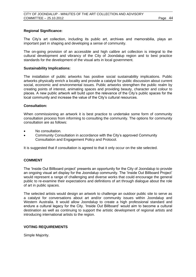### **Regional Significance:**

The City's art collection, including its public art, archives and memorabilia, plays an important part in shaping and developing a sense of community.

The on-going provision of an accessible and high calibre art collection is integral to the cultural development and vibrancy of the City of Joondalup region and to best practice standards for the development of the visual arts in local government.

#### **Sustainability Implications:**

The installation of public artworks has positive social sustainability implications. Public artworks physically enrich a locality and provide a catalyst for public discussion about current social, economic and environmental issues. Public artworks strengthen the public realm by creating points of interest, animating spaces and providing beauty, character and colour to places. A new public artwork will build upon the relevance of the City's public spaces for the local community and increase the value of the City's cultural resources.

#### **Consultation:**

When commissioning an artwork it is best practice to undertake some form of community consultation process from informing to consulting the community. The options for community consultation are as follows:

- No consultation.
- Community Consultation in accordance with the City's approved Community Consultation and Engagement Policy and Protocol.

It is suggested that if consultation is agreed to that it only occur on the site selected.

### **COMMENT**

The 'Inside Out Billboard project' presents an opportunity for the City of Joondalup to provide an ongoing visual art display for the Joondalup community. The 'Inside Out Billboard Project' would represent a range of challenging and diverse works that could encourage the general public to re-examine their expectations and definitions of art through dialogue about the role of art in public spaces.

The selected artists would design an artwork to challenge an outdoor public site to serve as a catalyst for conversations about art and/or community issues within Joondalup and Western Australia. It would allow Joondalup to create a high professional standard and endure a cultural legacy for the City. 'Inside Out Billboard' would aim to become a cultural destination as well as continuing to support the artistic development of regional artists and introducing international artists to the region.

#### **VOTING REQUIREMENTS**

Simple Majority.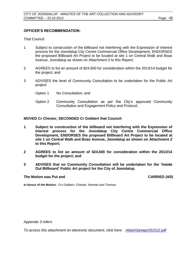### **OFFICER'S RECOMMENDATION:**

That Council:

- 1 Subject to construction of the billboard not interfering with the Expression of Interest process for the Joondalup City Centre Commercial Office Development, ENDORSES the proposed Billboard Art Project to be located at site 1 on Central Walk and Boas Avenue, Joondalup as shown on Attachment 2 to this Report;
- 2 AGREES to list an amount of \$24,500 for consideration within the 2013/14 budget for the project; and
- 3 ADVISES the level of Community Consultation to be undertaken for the Public Art project:
	- Option 1 No Consultation: and
	- Option 2 Community Consultation as per the City's approved Community Consultation and Engagement Policy and Protocol.

**MOVED Cr Chester, SECONDED Cr Gobbert that Council:**

- **1 Subject to construction of the billboard not interfering with the Expression of Interest process for the Joondalup City Centre Commercial Office Development, ENDORSES the proposed Billboard Art Project to be located at site 1 on Central Walk and Boas Avenue, Joondalup as shown on Attachment 2 to this Report;**
- **2 AGREES to list an amount of \$24,500 for consideration within the 2013/14 budget for the project; and**
- **3 ADVISES that no Community Consultation will be undertaken for the 'Inside Out Billboard' Public Art project for the City of Joondalup.**

#### **The Motion was Put and CARRIED (4/0)**

**In favour of the Motion:** Crs Gobbert, Chester, Norman and Thomas.

*Appendix 3 refers*

*To access this attachment on electronic document, click her[e:](Attach3artagn251012.pdf) [Attach3artagn251012.pdf](Attachments/Attach3artagn251012.pdf)*